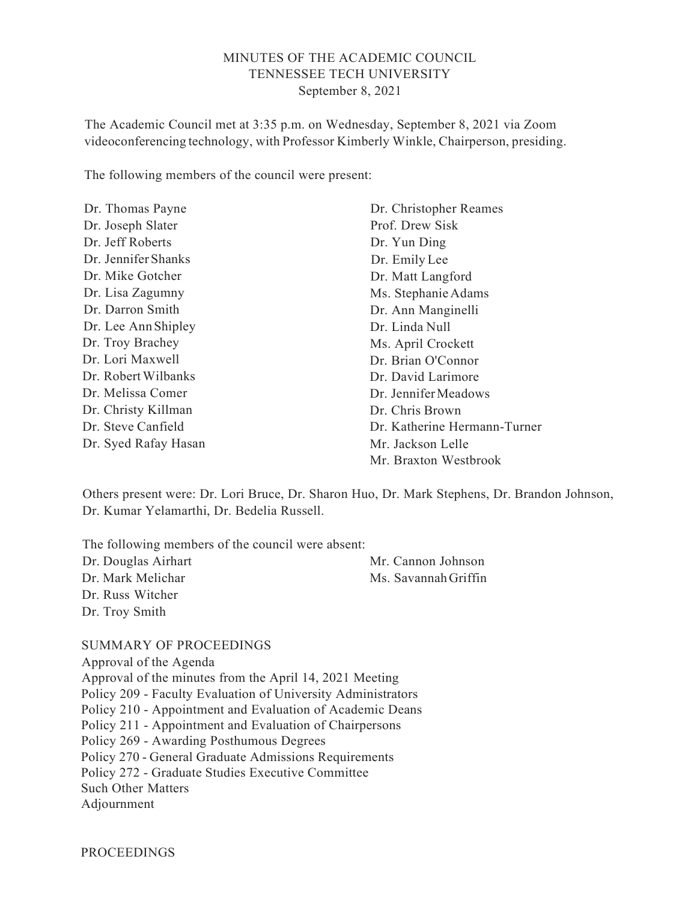#### MINUTES OF THE ACADEMIC COUNCIL TENNESSEE TECH UNIVERSITY September 8, 2021

The Academic Council met at 3:35 p.m. on Wednesday, September 8, 2021 via Zoom videoconferencing technology, with Professor Kimberly Winkle, Chairperson, presiding.

The following members of the council were present:

| Dr. Thomas Payne     | Dr. Christopher Reames       |  |
|----------------------|------------------------------|--|
| Dr. Joseph Slater    | Prof. Drew Sisk              |  |
| Dr. Jeff Roberts     | Dr. Yun Ding                 |  |
| Dr. Jennifer Shanks  | Dr. Emily Lee                |  |
| Dr. Mike Gotcher     | Dr. Matt Langford            |  |
| Dr. Lisa Zagumny     | Ms. Stephanie Adams          |  |
| Dr. Darron Smith     | Dr. Ann Manginelli           |  |
| Dr. Lee Ann Shipley  | Dr. Linda Null               |  |
| Dr. Troy Brachey     | Ms. April Crockett           |  |
| Dr. Lori Maxwell     | Dr. Brian O'Connor           |  |
| Dr. Robert Wilbanks  | Dr. David Larimore           |  |
| Dr. Melissa Comer    | Dr. Jennifer Meadows         |  |
| Dr. Christy Killman  | Dr. Chris Brown              |  |
| Dr. Steve Canfield   | Dr. Katherine Hermann-Turner |  |
| Dr. Syed Rafay Hasan | Mr. Jackson Lelle            |  |
|                      | Mr. Braxton Westbrook        |  |

Others present were: Dr. Lori Bruce, Dr. Sharon Huo, Dr. Mark Stephens, Dr. Brandon Johnson, Dr. Kumar Yelamarthi, Dr. Bedelia Russell.

| The following members of the council were absent: |                      |
|---------------------------------------------------|----------------------|
| Dr. Douglas Airhart                               | Mr. Cannon Johnson   |
| Dr. Mark Melichar                                 | Ms. Savannah Griffin |
| Dr. Russ Witcher                                  |                      |
| Dr. Troy Smith                                    |                      |

#### SUMMARY OF PROCEEDINGS

Approval of the Agenda Approval of the minutes from the April 14, 2021 Meeting Policy 209 - Faculty Evaluation of University Administrators Policy 210 - Appointment and Evaluation of Academic Deans Policy 211 - Appointment and Evaluation of Chairpersons Policy 269 - Awarding Posthumous Degrees Policy 270 - General Graduate Admissions Requirements Policy 272 - Graduate Studies Executive Committee Such Other Matters Adjournment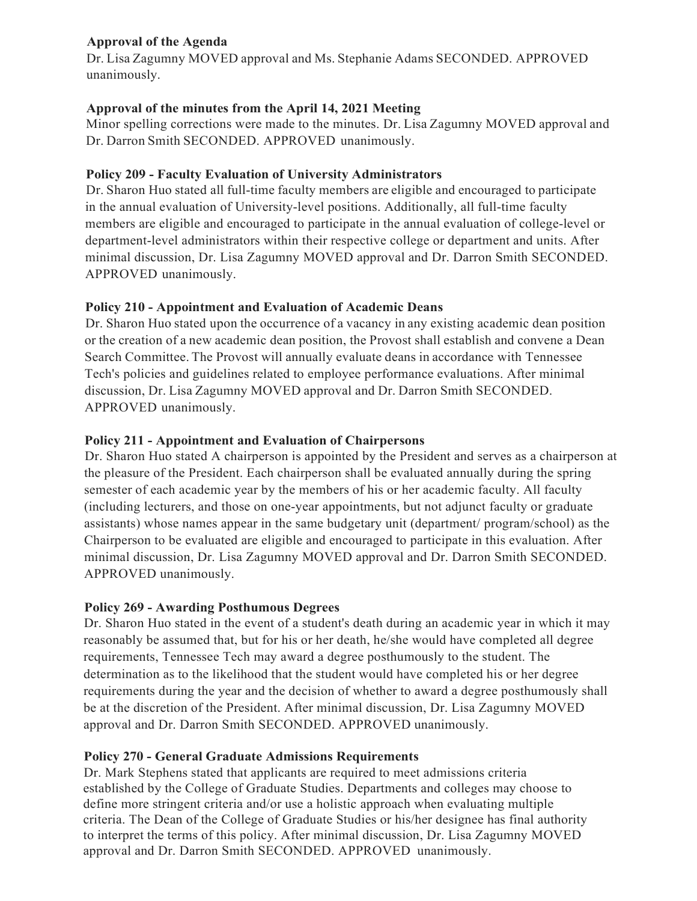# Approval of the Agenda

Dr. Lisa Zagumny MOVED approval and Ms. Stephanie Adams SECONDED. APPROVED unanimously.

# Approval of the minutes from the April 14, 2021 Meeting

Minor spelling corrections were made to the minutes. Dr. Lisa Zagumny MOVED approval and Dr. Darron Smith SECONDED. APPROVED unanimously.

# Policy 209 - Faculty Evaluation of University Administrators

Dr. Sharon Huo stated all full-time faculty members are eligible and encouraged to participate in the annual evaluation of University-level positions. Additionally, all full-time faculty members are eligible and encouraged to participate in the annual evaluation of college-level or department-level administrators within their respective college or department and units. After minimal discussion, Dr. Lisa Zagumny MOVED approval and Dr. Darron Smith SECONDED. APPROVED unanimously.

# Policy 210 - Appointment and Evaluation of Academic Deans

Dr. Sharon Huo stated upon the occurrence of a vacancy in any existing academic dean position or the creation of a new academic dean position, the Provost shall establish and convene a Dean Search Committee. The Provost will annually evaluate deans in accordance with Tennessee Tech's policies and guidelines related to employee performance evaluations. After minimal discussion, Dr. Lisa Zagumny MOVED approval and Dr. Darron Smith SECONDED. APPROVED unanimously.

# Policy 211 - Appointment and Evaluation of Chairpersons

Dr. Sharon Huo stated A chairperson is appointed by the President and serves as a chairperson at the pleasure of the President. Each chairperson shall be evaluated annually during the spring semester of each academic year by the members of his or her academic faculty. All faculty (including lecturers, and those on one-year appointments, but not adjunct faculty or graduate assistants) whose names appear in the same budgetary unit (department/ program/school) as the Chairperson to be evaluated are eligible and encouraged to participate in this evaluation. After minimal discussion, Dr. Lisa Zagumny MOVED approval and Dr. Darron Smith SECONDED. APPROVED unanimously.

#### Policy 269 - Awarding Posthumous Degrees

Dr. Sharon Huo stated in the event of a student's death during an academic year in which it may reasonably be assumed that, but for his or her death, he/she would have completed all degree requirements, Tennessee Tech may award a degree posthumously to the student. The determination as to the likelihood that the student would have completed his or her degree requirements during the year and the decision of whether to award a degree posthumously shall be at the discretion of the President. After minimal discussion, Dr. Lisa Zagumny MOVED approval and Dr. Darron Smith SECONDED. APPROVED unanimously.

# Policy 270 - General Graduate Admissions Requirements

Dr. Mark Stephens stated that applicants are required to meet admissions criteria established by the College of Graduate Studies. Departments and colleges may choose to define more stringent criteria and/or use a holistic approach when evaluating multiple criteria. The Dean of the College of Graduate Studies or his/her designee has final authority to interpret the terms of this policy. After minimal discussion, Dr. Lisa Zagumny MOVED approval and Dr. Darron Smith SECONDED. APPROVED unanimously.